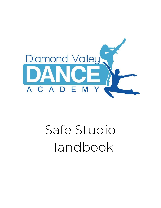

# Safe Studio Handbook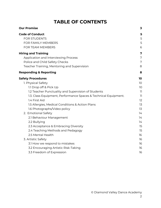# **TABLE OF CONTENTS**

| <b>Our Promise</b>                                                                      | 3                |
|-----------------------------------------------------------------------------------------|------------------|
| <b>Code of Conduct</b><br><b>FOR STUDENTS</b><br>FOR FAMILY MEMBERS<br>FOR TEAM MEMBERS | 5<br>5<br>5<br>6 |
| <b>Hiring and Training</b><br>Application and Interviewing Process                      | 7<br>7           |
| Police and Child Safety Checks                                                          | 7                |
| Teacher Training, Mentoring and Supervision                                             | 8                |
| <b>Responding &amp; Reporting</b>                                                       | 8                |
| <b>Safety Procedures</b>                                                                | 10               |
| 1. Physical Safety                                                                      | 10               |
| 1.1 Drop off & Pick Up                                                                  | 10 <sup>°</sup>  |
| 1.2 Teacher Punctuality and Supervision of Students                                     | 11               |
| 1.3. Class Equipment, Performance Spaces & Technical Equipment.                         | 11               |
| 1.4 First Aid                                                                           | 12               |
| 1.5 Allergies, Medical Conditions & Action Plans                                        | 13               |
| 1.6 Photographs/Video policy                                                            | 13               |
| 2. Emotional Safety                                                                     | 14               |
| 2.1 Behaviour Management                                                                | 14               |
| 2.2 Bullying                                                                            | 14               |
| 2.3 Acceptance & Embracing Diversity                                                    | 15               |
| 2.4 Teaching Methods and Pedagogy                                                       | 15               |
| 2.5 Mental Health                                                                       | 16               |
| 3. Artistic Safety                                                                      | 16               |
| 3.1 How we respond to mistakes                                                          | 16               |
| 3.2 Encouraging Artistic Risk-Taking                                                    | 16               |
| 3.3 Freedom of Expression                                                               | 16               |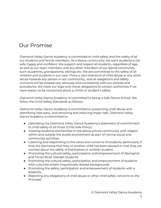# Our Promise

Diamond Valley Dance Academy is committed to child safety and the safety of all our students and family members.. As a dance community, we want students to be safe, happy and confident. We support and respect all students, regardless of age, as well as our team members and any other members of our dance community such as parents, grandparents, siblings etc. We are committed to the safety of all children and students in our care. There is zero tolerance of child abuse or any other abuse towards any person in our community,, and all allegations and safety concerns will be treated very seriously and consistently with our policies and procedures. We meet our legal and moral obligations to contact authorities if we have reason to be concerned about a child's or student's safety.

Diamond Valley Dance Academy is committed to being a Safe Dance School. We follow the Child Safety Standards as follows:

Diamond Valley Dance Academy is committed to preventing child abuse and identifying risks early, and removing and reducing these risks. Diamond Valley Dance Academy is committed to:

- Upholding the Diamond Valley Dance Academy's statement of commitment to child safety at all times (Child Safe Policy).
- Treating students and families in the dance school community with respect within and outside the studio environment as part of normal social and community activities.
- Listening and responding to the views and concerns of students, particularly if they are disclosing that they or another child has been abused or that they are worried about the safety of themselves or another student.
- Promoting the cultural safety, participation and empowerment of Aboriginal and Torres Strait Islander students.
- Promoting the cultural safety, participation and empowerment of students with culturally and/or linguistically diverse backgrounds.
- Promoting the safety, participation and empowerment of students with a disability.
- Reporting any allegations of child abuse or other child safety concerns to the Principal.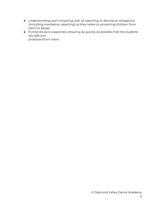- Understanding and complying with all reporting or disclosure obligations (including mandatory reporting) as they relate to protecting children from harm or abuse.
- If child abuse is suspected, ensuring as quickly as possible that the students are safe and protected from harm.

© Diamond Valley Dance Academy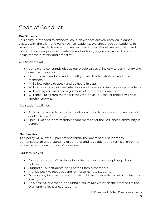# <span id="page-4-0"></span>Code of Conduct

#### **Our Students**

This policy is intended to empower children who are actively enrolled in dance classes with the Diamond Valley Dance Academy. We encourage our students to make appropriate decisions and to respect each other. We will respect them and listen to their view points with interest and without judgement. We will promote inclusiveness, diversity and empathy.

Our students will:

- Uphold and constantly display our studio values of inclusivity, community and creative innovation.
- Demonstrate kindness and empathy towards other students and team members..
- Will allow others to speak and be heard in class.
- Will demonstrate positive behaviours and be role models to younger students
- Will bide by our rules and regulations of our terms of enrolment.
- Will speak to a team member if they feel anxious, upset or think it will help another student.

Our students will not:

- Bully, either verbally, on social media or with body language any member of our DVDance Community.
- Speak ill of a student member, team member or the DVDance Community in general.

#### **Our Families**

This policy will allow our parents and family members of our students to demonstrate an understanding of our rules and regulations and terms of enrolment as well as an understanding of our values.

Our families will:

- Pick up and drop off students in a safe manner as per our pick/up drop off policies.
- Support all our students, not just their family members.
- Provide positive feedback and reinforcement to students.
- Disclose any information about their child that may assist us with our learning strategies.
- Be a positive role model and uphold our values whilst on the premises of the Diamond Valley Dance Academy.

© Diamond Valley Dance Academy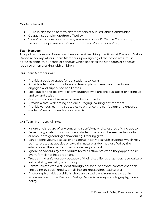Our families will not:

- Bully, in any shape or form any members of our DVDance Community.
- Go against our pick up/drop off policy.
- Video/film or take photos of any members of our DVDance Community without prior permission. Please refer to our Photo/Video Policy.

#### **Team Members**

This policy guides our Team Members on best teaching practices at Diamond Valley Dance Academy. All our Team Members, upon signing of their contracts, must agree to abide by our code of conduct which specifies the standards of conduct required when working with children.

Our Team Members will:

- Provide a positive space for our students to learn
- Provide adequate curriculum and lesson plans to ensure students are engaged and supervised at all times.
- Look out for and be aware of any students who are anxious, upset or acting up and try and assist.
- Communicate and liaise with parents of students.
- Provide a safe, welcoming and encouraging learning environment.
- Provide various learning strategies to enhance the curriculum and ensure all students' learning needs are catered to.
- $\bullet$

Our Team Members will not:

- Ignore or disregard of any concerns, suspicions or disclosures of child abuse.
- Developing a relationship with any student that could be seen as favouritism or amount to grooming behaviour eg. Offering gifts.
- Exhibit behaviours, discuss or engaging in activities with students which may be interpreted as abusive or sexual in nature and/or not justified by the educational, therapeutic or service delivery context.
- Ignore behaviours by other adults towards students when they appear to be overly familiar or inappropriate.
- Treat a child unfavourably because of their disability, age, gender, race, culture vulnerability, sexuality or ethnicity.
- Communicate with a student through personal or private contact channels (including by social media, email, instant messaging, texting etc).
- Photograph or video a child in the dance studio environment except in accordance with the Diamond Valley Dance Academy's Photography/Video policy.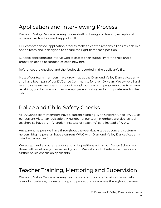# <span id="page-6-0"></span>Application and Interviewing Process

Diamond Valley Dance Academy prides itself on hiring and training exceptional personnel as teachers and support staff.

Our comprehensive application process makes clear the responsibilities of each role on the team and is designed to ensure the right fit for each position.

Suitable applicants are interviewed to assess their suitability for the role and a probation period accompanies each new hire.

References are checked and the feedback recorded in the applicant's file.

Most of our team members have grown up at the Diamond Valley Dance Academy and have been part of our DVDance Community for over 10+ years. We try very hard to employ team members in-house through our teaching programs so as to ensure reliability, good ethical standards, employment history and appropriateness for the role.

# <span id="page-6-1"></span>Police and Child Safety Checks

All DVDance team members have a current Working With Children Check (WCC) as per current Victorian legislation. A number of our team members are also school teachers so have a VIT (Victorian Institute of Teaching) card instead of WWC.

Any parent helpers we have throughout the year (backstage at concert, costume helpers, bbq helpers) all have a current WWC with Diamond Valley Dance Academy listed an "employer".

We accept and encourage applications for positions within our Dance School from those with a culturally diverse background. We will conduct reference checks and further police checks on applicants.

# <span id="page-6-2"></span>Teacher Training, Mentoring and Supervision

Diamond Valley Dance Academy teachers and support staff maintain an excellent level of knowledge, understanding and procedural awareness throughout the year.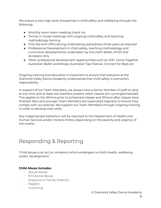We ensure a very high level of expertise in child safety and wellbeing through the following;

- Monthly zoom team meeting check ins
- Termly in house meetings with ongoing child safety and teaching methodology training
- First Aid and CPR training undertaking yearly/every three years as required
- Professional Development in child safety, teaching methodology and curriculum developments undertaken by Cecchetti Ballet, ATOD and Acrobatic Arts.
- Other professional development opportunities such as VDF, Come Together Australian Ballet workshops. Australian Tap Festival. Connect for Boys etc

Ongoing training and education is important to ensure that everyone at the Diamond Valley Dance Academy understands that child safety is everyone's responsibility.

In support of our Team Members, we always have a Senior Member of staff on duty at any time and at least two teachers present when classes are running/scheduled. This applies to the 30mins prior to scheduled classes and 30mins after classes have finished. New and younger Team Members are supervised regularly to ensure they comply with our policies. We support our Team Members through ongoing training in order to develop their skills.

Any inappropriate behaviour will be reported to the Department of Health and Human Services and/or Victoria Police, depending on the severity and urgency of the matter.

# <span id="page-7-0"></span>Responding & Reporting

'Child abuse is an act (or omission) which endangers a child's health, wellbeing and/or development.'

#### **Child Abuse includes:**

- Sexual Abuse
- Emotional Abuse
- Exposure to Family Violence
- Neglect
- Grooming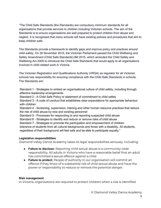"The Child Safe Standards (the Standards) are compulsory minimum standards for all organisations that provide services to children including Victorian schools. The aim of the Standards is to ensure organisations are well prepared to protect children from abuse and neglect. It is recognised that many schools will have existing policies and procedures that aim to keep children safe.

The Standards provide a framework to identify gaps and improve policy and practices around child safety. On 26 November 2015, the Victorian Parliament passed the Child Wellbeing and Safety Amendment (Child Safe Standards) Bill 2015, which amended the Child Safety and Wellbeing Act 2005 to introduce the Child Safe Standards that would apply to all organisations involved in child related work in Victoria.

The Victorian Registration and Qualifications Authority (VRQA) as regulator for all Victorian schools has responsibility for ensuring compliance with the Child Safe Standards in schools. The Standards are:

Standard 1 - Strategies to embed an organisational culture of child safety, including through effective leadership arrangements

Standard 2 - A Child Safe Policy or statement of commitment to child safety

Standard 3 - A code of conduct that establishes clear expectations for appropriate behaviour with children

Standard 4 - Screening, supervision, training and other human resource practices that reduce the risk of child abuse by new and existing personnel

Standard 5 - Processes for responding to and reporting suspected child abuse

Standard 6 - Strategies to identify and reduce or remove risks of child abuse

Standard 7 - Strategies to promote the participation and empowerment of children

tolerance of students from all cultural backgrounds and those with a disability. All students,

regardless of their background will feel safe and be able to participate equally."

#### **Legislative responsibilities**

Diamond Valley Dance Academy takes its legal responsibilities seriously, including:

- **Failure to disclose:** Reporting child sexual abuse is a community-wide responsibility. All adults in Victoria who have a reasonable belief that an adult has committed a sexual offence against a child
- **Failure to protect:** People of authority in our organisation will commit an offence if they know of a substantial risk of child sexual abuse and have the power or responsibility to reduce or remove the potential danger.

#### **Risk management**

In Victoria, organisations are required to protect children when a risk is identified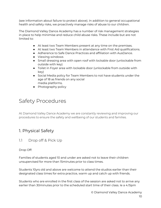(see information about failure to protect above). In addition to general occupational health and safety risks, we proactively manage risks of abuse to our children.

The Diamond Valley Dance Academy has a number of risk management strategies in place to help minimise and reduce child abuse risks. These include but are not limited to:

- At least two Team Members present at any time on the premises.
- At least two Team Members in attendance with First Aid qualifications.
- Adherence to Safe Dance Practices and affiliation with AusDance.
- Viewing windows
- Small dressing area with open roof with lockable door (unlockable from outside with key)
- Toilet in Foyer area with lockable door (unlockable from outside with key)
- Social Media policy for Team Members to not have students under the age of 18 as friends on any social media platforms.
- Photography policy

# <span id="page-9-0"></span>Safety Procedures

At Diamond Valley Dance Academy we are constantly reviewing and improving our procedures to ensure the safety and wellbeing of our students and families.

## <span id="page-9-1"></span>1. Physical Safety

<span id="page-9-2"></span>1.1 Drop off & Pick Up

#### Drop Off:

Families of students aged 10 and under are asked not to leave their children unsupervised for more than 15minutes prior to class times.

Students 10yrs old and above are welcome to attend the studios earlier than their designated class times for extra practice, warm up and catch up with friends.

Students who are enrolled in the first class of the session are asked not to arrive any earlier than 30minutes prior to the scheduled start time of their class. Ie a 4.15pm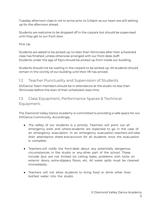Tuesday afternoon class is not to arrive prior to 3.45pm as our team are still setting up for the afternoon ahead.

Students are welcome to be dropped off in the carpark but should be supervised until they get to our front door.

Pick Up:

Students are asked to be picked up no later than 15minutes after their scheduled class has finished, unless otherwise arranged with our front desk staff. Students under the age of 10yrs should be picked up from inside our building.

Students should not be waiting in the carpark to be picked up. All students should remain in the vicinity of our building until their lift has arrived.

## <span id="page-10-0"></span>1.2 Teacher Punctuality and Supervision of Students

DVDance Team members should be in attendance at the studio no less than 15minutes before the start of their scheduled class time.

## 1.3 Class Equipment, Performance Spaces & Technical Equipment.

The Diamond Valley Dance Academy is committed to providing a safe space for our DVDance Community. Accordingly:

- The safety of our students is a priority. Teachers will point out all emergency exits and where students are expected to go in the case of an emergency evacuation. In an emergency evacuation, teachers will take their attendance sheet and account for all students once the evacuation is complete..
- Teachers will notify the front desk about any potentially dangerous circumstances in the studio or any other part of the school. These include (but are not limited to) ceiling leaks, problems with locks on exterior doors, extra-slippery floors, etc. All water spills must be cleaned immediately.
- Teachers will not allow students to bring food or drink other than bottled water into the studio.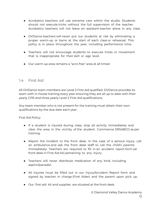- Acrobatics teachers will use extreme care within the studio. Students should not execute tricks without the full supervision of the teacher. Acrobatics teachers will not leave an assistant teacher alone in any class.
- DVDance teachers will never put our students at risk by eliminating a proper warm-up or barre at the start of each class or rehearsal. This policy is in place throughout the year, including performance time.
- Teachers will not encourage students to execute tricks or movement that is inappropriate for their skill or age level.
- Our warm up area remains a "acro free" area at all times!

#### <span id="page-11-0"></span>1.4 First Aid

All DVDance team members are Level 2 First Aid qualified. DVDance provides its team with in-house training every year ensuring they are all up to date with their yearly CPR and three yearly Level 2 First Aid qualifications.

Any team member who is not present for the training must obtain their own qualifications by the due date each year.

First Aid Policy:

- If a student is injured during class, stop all activity immediately and clear the area in the vicinity of the student. Commence DRSABCD as per training.
- Report the incident to the front desk. In the case of a serious injury, call an ambulance and ask the front desk staff to call the child's parents immediately. Teachers are required to fill in an accident report form (at front desk in First Aid kit) pertaining to any injury.
- Teachers will never distribute medication of any kind, including aspirin/panadol.
- All injuries must be filled out in our Injury/Accident Report form and signed by teacher in charge (First Aider) and the parent upon pick up.
- Our first-aid kit and supplies are situated at the front desk.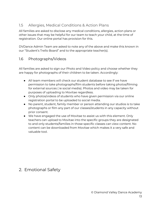#### <span id="page-12-0"></span>1.5 Allergies, Medical Conditions & Action Plans

All families are asked to disclose any medical conditions, allergies, action plans or other issues that may be helpful for our team to teach your child, at the time of registration. Our online portal has provision for this.

DVDance Admin Team are asked to note any of the above and make this known in our "Student's Trello Board" and to the appropriate teacher(s).

### 1.6 Photographs/Videos

All families are asked to sign our Photo and Video policy and choose whether they are happy for photographs of their children to be taken. Accordingly:

- All team members will check our student database to see if we have permission to take photographs/film students before taking photos/filming for external sources ( ie social media). Photos and video may be taken for purposes of uploading to Movitae regardless.
- Only photos/videos of students who have given permission via our online registration portal to be uploaded to social media.
- No parent, student, family member or person attending our studios is to take photographs or film any part of our classes/students in any capacity without prior consent.
- We have engaged the use of Movitae to assist us with this element. Only teachers can upload to Movitae into the specific groups they are designated to and only students/families in those specific classes can view content. No content can be downloaded from Movitae which makes it a very safe and valuable tool.

## <span id="page-12-1"></span>2. Emotional Safety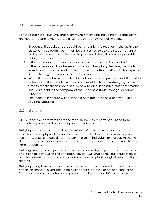#### <span id="page-13-0"></span>2.1 Behaviour Management

For the safety of all our DVDance Community members including students, team members and family members, please note our Behaviour Policy below:

- 1. Student will be asked to stop said behaviour by the teacher in charge in the class/warm up room. Team members are asked to use the student's name and give a clear and concise warning to stop. If the behaviour stops at this point, there is no further action.
- 2. If the behaviour continues, a second warning, as per no 1, is required.
- 3. If the behaviour still continues and it is now disrupting the class, the student is asked to sit down the front of the studio and the Principal/Studio Manager or Admin Manager are notified of the behaviour.
- 4. When the parent arrives the teacher will speak to the parent about the child's behaviour. If the parent/teacher is not available, then a mutually agreeable time to meet/talk on phone should be arranged. If possible, this conversation should be held in the company of the Principal/Studio Manager or Admin Manager.
- 5. The teacher in charge will then add a note about the said behaviour in our Student Database.

#### <span id="page-13-1"></span>2.2 Bullying

At DVDance we have zero tolerance for bullying. Any reports of bullying from students or parents will be acted upon immediately.

Bullying is an ongoing and deliberate misuse of power in relationships through repeated verbal, physical and/or social behaviour that intends to cause physical, social and/or psychological harm. It can involve an individual or a group misusing their power, or perceived power, over one or more persons who feel unable to stop it from happening.

Bullying can happen in person or online, via various digital platforms and devices and it can be obvious (overt) or hidden (covert). Bullying behaviour is repeated, or has the potential to be repeated, over time (for example, through sharing of digital records).

Bullying of any form or for any reason can have immediate, medium and long-term effects on those involved, including bystanders. Single incidents and conflict or fights between equals, whether in person or online, are not defined as bullying.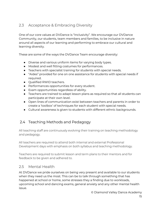## <span id="page-14-0"></span>2.3 Acceptance & Embracing Diversity

One of our core values at DVDance is "Inclusivity". We encourage our DVDance Community, our students, team members and families, to be inclusive in nature around all aspects of our learning and performing to embrace our cultural and learning diversity.

These are some of the ways the DVDance Team encourage diversity:

- Diverse and various uniform items for varying body types.
- Modest and well fitting costumes for performances.
- Teachers with specialist training for students with special needs.
- "Aides" provided for one on one assistance for students with special needs if required.
- Qualified RWID teachers.
- Performances opportunities for every student.
- Exam opportunities regardless of ability.
- Teachers are trained to adapt lesson plans as required so that all students can participate at their own level.
- Open lines of communication exist between teachers and parents in order to create a 'toolbox' of techniques for each student with special needs.
- Cultural awareness is given to students with different ethnic backgrounds.

## 2.4 Teaching Methods and Pedagogy

All teaching staff are continuously evolving their training on teaching methodology and pedagogy.

All teachers are required to attend both internal and external Professional Development days with emphasis on both syllabus and teaching methodology.

Teachers are required to submit lesson and term plans to their mentors and for feedback to be given and adhered to.

#### <span id="page-14-1"></span>2.5 Mental Health

At DVDance we pride ourselves on being very present and available to our students when they need us the most. This can be to talk through something that has happened at school or home, some stresses they a finding due to workloads, upcoming school and dancing exams, general anxiety and any other mental health issue.